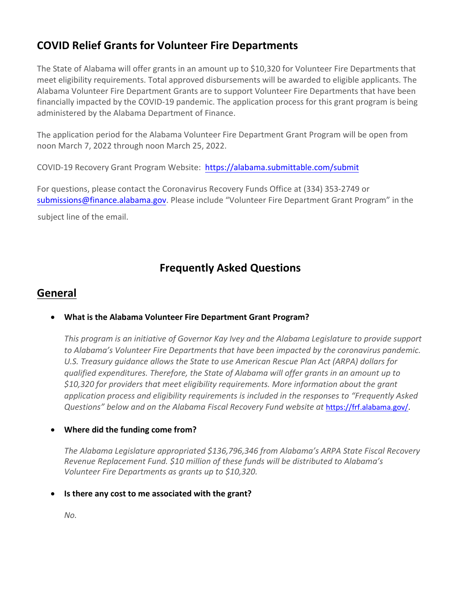# **COVID Relief Grants for Volunteer Fire Departments**

The State of Alabama will offer grants in an amount up to \$10,320 for Volunteer Fire Departments that meet eligibility requirements. Total approved disbursements will be awarded to eligible applicants. The Alabama Volunteer Fire Department Grants are to support Volunteer Fire Departments that have been financially impacted by the COVID-19 pandemic. The application process for this grant program is being administered by the Alabama Department of Finance.

The application period for the Alabama Volunteer Fire Department Grant Program will be open from noon March 7, 2022 through noon March 25, 2022.

COVID-19 Recovery Grant Program Website: https://alabama.submittable.com/submit

For questions, please contact the Coronavirus Recovery Funds Office at (334) 353-2749 or submissions@finance.alabama.gov. Please i[nclude "Volunteer Fire](https://alabama.submittable.com/submit) Department Grant Program" in the subject line of the email.

# **Frequently Asked Questions**

## **General**

## • **What is the Alabama Volunteer Fire Department Grant Program?**

*This program is an initiative of Governor Kay Ivey and the Alabama Legislature to provide support to Alabama's Volunteer Fire Departments that have been impacted by the coronavirus pandemic. U.S. Treasury guidance allows the State to use American Rescue Plan Act (ARPA) dollars for qualified expenditures. Therefore, the State of Alabama will offer grants in an amount up to \$10,320 for providers that meet eligibility requirements. More information about the grant application process and eligibility requirements is included in the responses to "Frequently Asked Questions" below and on the Alabama Fiscal Recovery Fund website at* [https://frf.alabama.gov/.](https://frf.alabama.gov/)

## • **Where did the funding come from?**

*The Alabama Legislature appropriated \$136,796,346 from Alabama's ARPA State Fiscal Recovery Revenue Replacement Fund. \$10 million of these funds will be distributed to Alabama's Volunteer Fire Departments as grants up to \$10,320.*

## • **Is there any cost to me associated with the grant?**

*No.*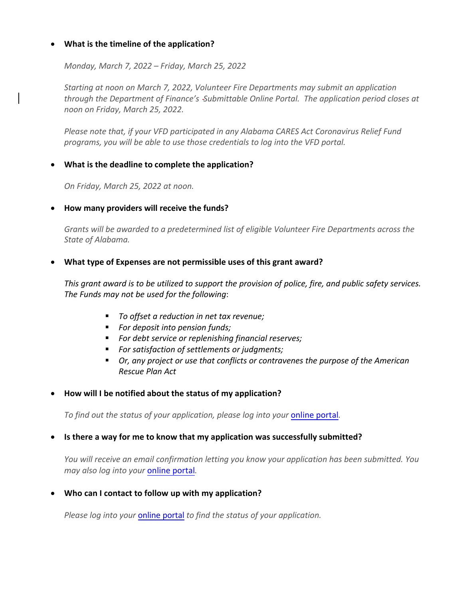### • **What is the timeline of the application?**

*Monday, March 7, 2022 – Friday, March 25, 2022*

*Starting at noon on March 7, 2022, Volunteer Fire Departments may submit an application through the Department of Finance's Submittable Online Portal. The application period closes at noon on Friday, March 25, 2022.*

*Please note that, if your VFD participated in any Alabama CARES Act Coronavirus Relief Fund programs, you will be able to use those credentials to log into the VFD portal.*

### • **What is the deadline to complete the application?**

*On Friday, March 25, 2022 at noon.*

### • **How many providers will receive the funds?**

*Grants will be awarded to a predetermined list of eligible Volunteer Fire Departments across the State of Alabama.* 

### • **What type of Expenses are not permissible uses of this grant award?**

*This grant award is to be utilized to support the provision of police, fire, and public safety services. The Funds may not be used for the following*:

- *To offset a reduction in net tax revenue;*
- *For deposit into pension funds;*
- *For debt service or replenishing financial reserves;*
- *For satisfaction of settlements or judgments;*
- *Or, any project or use that conflicts or contravenes the purpose of the American Rescue Plan Act*

### • **How will I be notified about the status of my application?**

*To find out the status of your application, please log into your* [online portal](https://alabama.submittable.com/submit)*.*

### • **Is there a way for me to know that my application was successfully submitted?**

*You will receive an email confirmation letting you know your application has been submitted. You may also log into your* [online portal](https://alabama.submittable.com/submit)*.*

• **Who can I contact to follow up with my application?**

*Please log into your* [online portal](https://alabama.submittable.com/submit) *to find the status of your application.*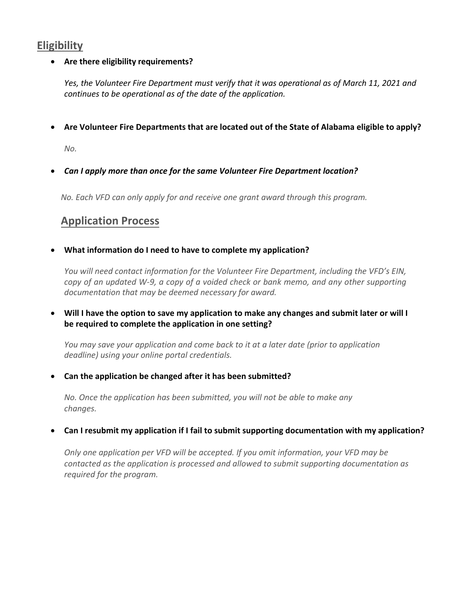## **Eligibility**

### • **Are there eligibility requirements?**

*Yes, the Volunteer Fire Department must verify that it was operational as of March 11, 2021 and continues to be operational as of the date of the application.*

• **Are Volunteer Fire Departments that are located out of the State of Alabama eligible to apply?**

*No.*

• *Can I apply more than once for the same Volunteer Fire Department location?* 

*No. Each VFD can only apply for and receive one grant award through this program.* 

# **Application Process**

• **What information do I need to have to complete my application?**

*You will need contact information for the Volunteer Fire Department, including the VFD's EIN, copy of an updated W-9, a copy of a voided check or bank memo, and any other supporting documentation that may be deemed necessary for award.*

• **Will I have the option to save my application to make any changes and submit later or will I be required to complete the application in one setting?**

*You may save your application and come back to it at a later date (prior to application deadline) using your online portal credentials.*

• **Can the application be changed after it has been submitted?**

*No. Once the application has been submitted, you will not be able to make any changes.*

## • **Can I resubmit my application if I fail to submit supporting documentation with my application?**

*Only one application per VFD will be accepted. If you omit information, your VFD may be contacted as the application is processed and allowed to submit supporting documentation as required for the program.*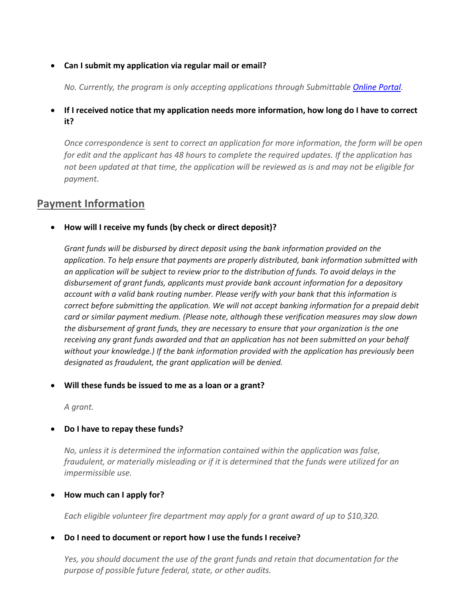### • **Can I [submit my application via regular](http://crf.alabama.gov/default.aspx) mail or email?**

*No. Currently, the program is only accepting applications through Submittable Online Portal.*

## • **If I received notice that my application needs more information, how long do I have to correct it?**

*Once correspondence is sent to correct an application for more information, the form will be open for edit and the applicant has 48 hours to complete the required updates. If the application has not been updated at that time, the application will be reviewed as is and may not be eligible for payment.*

## **Payment Information**

• **How will I receive my funds (by check or direct deposit)?**

*Grant funds will be disbursed by direct deposit using the bank information provided [on the](https://alabama.submittable.com/submit) application. To help ensure that payments are properly distributed, bank information submitted with an application will be subject to review prior to the distribution of funds. To avoid delays in the disbursement of grant funds, applicants must provide bank account information for a depository account with a valid bank routing number. Please verify with your bank that this information is correct before submitting the application. We will not accept banking information for a prepaid debit card or similar payment medium. (Please note, although these verification measures may slow down the disbursement of grant funds, they are necessary to ensure that your organization is the one receiving any grant funds awarded and that an application has not been submitted on your behalf without your knowledge.) If the bank information provided with the application has previously been designated as fraudulent, the grant application will be denied.*

### • **Will these funds be issued to me as a loan or a grant?**

*A grant.*

### • **Do I have to repay these funds?**

*No, unless it is determined the information contained within the application was false, fraudulent, or materially misleading or if it is determined that the funds were utilized for an impermissible use.*

### • **How much can I apply for?**

*Each eligible volunteer fire department may apply for a grant award of up to \$10,320.*

### • **Do I need to document or report how I use the funds I receive?**

*Yes, you should document the use of the grant funds and retain that documentation for the purpose of possible future federal, state, or other audits.*